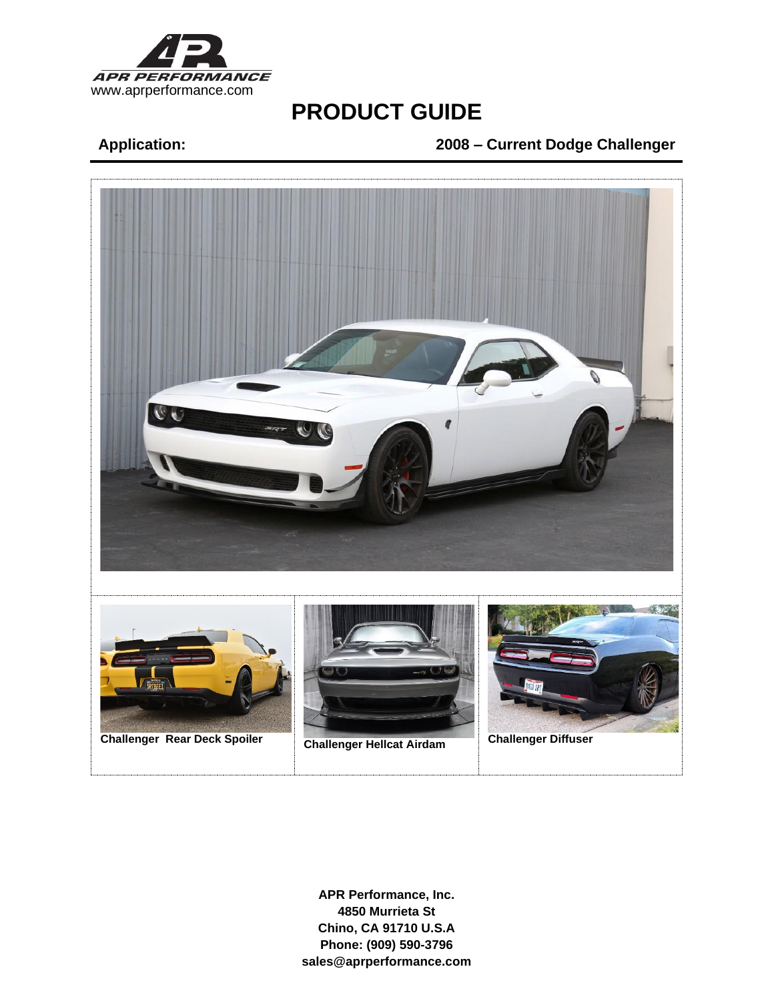

# **Application: 2008 – Current Dodge Challenger**

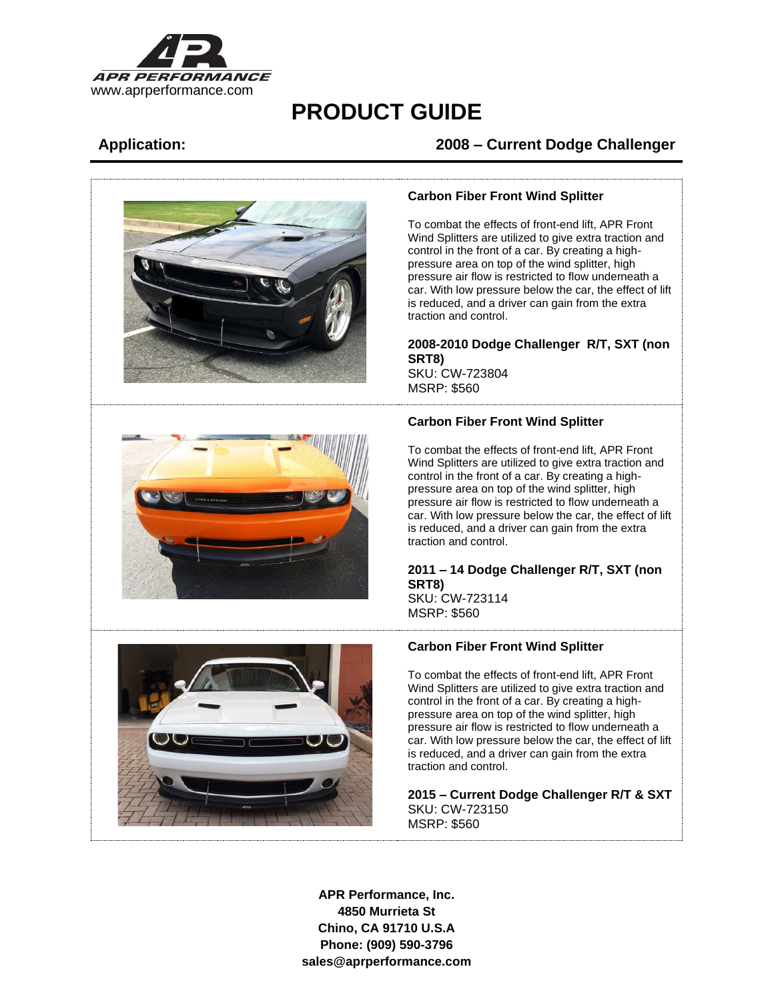

## **Application: 2008 – Current Dodge Challenger**



#### **Carbon Fiber Front Wind Splitter**

To combat the effects of front-end lift, APR Front Wind Splitters are utilized to give extra traction and control in the front of a car. By creating a highpressure area on top of the wind splitter, high pressure air flow is restricted to flow underneath a car. With low pressure below the car, the effect of lift is reduced, and a driver can gain from the extra traction and control.

## **2008-2010 Dodge Challenger R/T, SXT (non SRT8)**

SKU: CW-723804 MSRP: \$560

### **Carbon Fiber Front Wind Splitter**

To combat the effects of front-end lift, APR Front Wind Splitters are utilized to give extra traction and control in the front of a car. By creating a highpressure area on top of the wind splitter, high pressure air flow is restricted to flow underneath a car. With low pressure below the car, the effect of lift is reduced, and a driver can gain from the extra traction and control.

#### **2011 – 14 Dodge Challenger R/T, SXT (non SRT8)** SKU: CW-723114

MSRP: \$560



### **Carbon Fiber Front Wind Splitter**

To combat the effects of front-end lift, APR Front Wind Splitters are utilized to give extra traction and control in the front of a car. By creating a highpressure area on top of the wind splitter, high pressure air flow is restricted to flow underneath a car. With low pressure below the car, the effect of lift is reduced, and a driver can gain from the extra traction and control.

**2015 – Current Dodge Challenger R/T & SXT** SKU: CW-723150 MSRP: \$560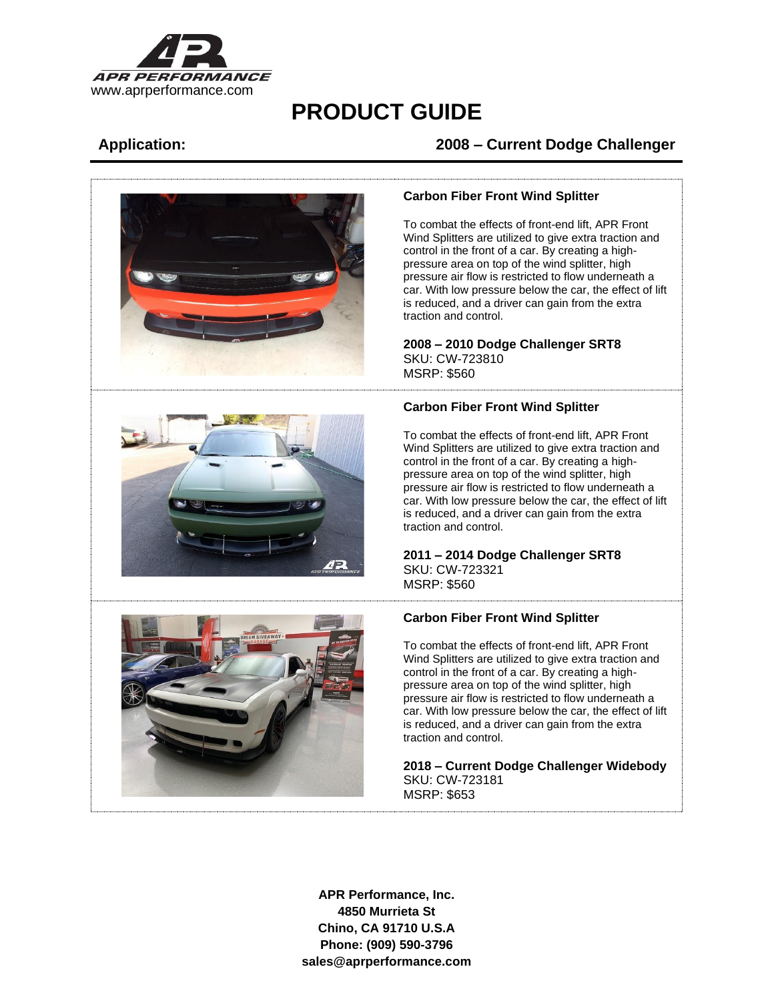

## **Application: 2008 – Current Dodge Challenger**





#### **Carbon Fiber Front Wind Splitter**

To combat the effects of front-end lift, APR Front Wind Splitters are utilized to give extra traction and control in the front of a car. By creating a highpressure area on top of the wind splitter, high pressure air flow is restricted to flow underneath a car. With low pressure below the car, the effect of lift is reduced, and a driver can gain from the extra traction and control.

#### **2008 – 2010 Dodge Challenger SRT8** SKU: CW-723810 MSRP: \$560

### **Carbon Fiber Front Wind Splitter**

To combat the effects of front-end lift, APR Front Wind Splitters are utilized to give extra traction and control in the front of a car. By creating a highpressure area on top of the wind splitter, high pressure air flow is restricted to flow underneath a car. With low pressure below the car, the effect of lift is reduced, and a driver can gain from the extra traction and control.

#### **2011 – 2014 Dodge Challenger SRT8** SKU: CW-723321 MSRP: \$560

### **Carbon Fiber Front Wind Splitter**

To combat the effects of front-end lift, APR Front Wind Splitters are utilized to give extra traction and control in the front of a car. By creating a highpressure area on top of the wind splitter, high pressure air flow is restricted to flow underneath a car. With low pressure below the car, the effect of lift is reduced, and a driver can gain from the extra traction and control.

**2018 – Current Dodge Challenger Widebody** SKU: CW-723181 MSRP: \$653

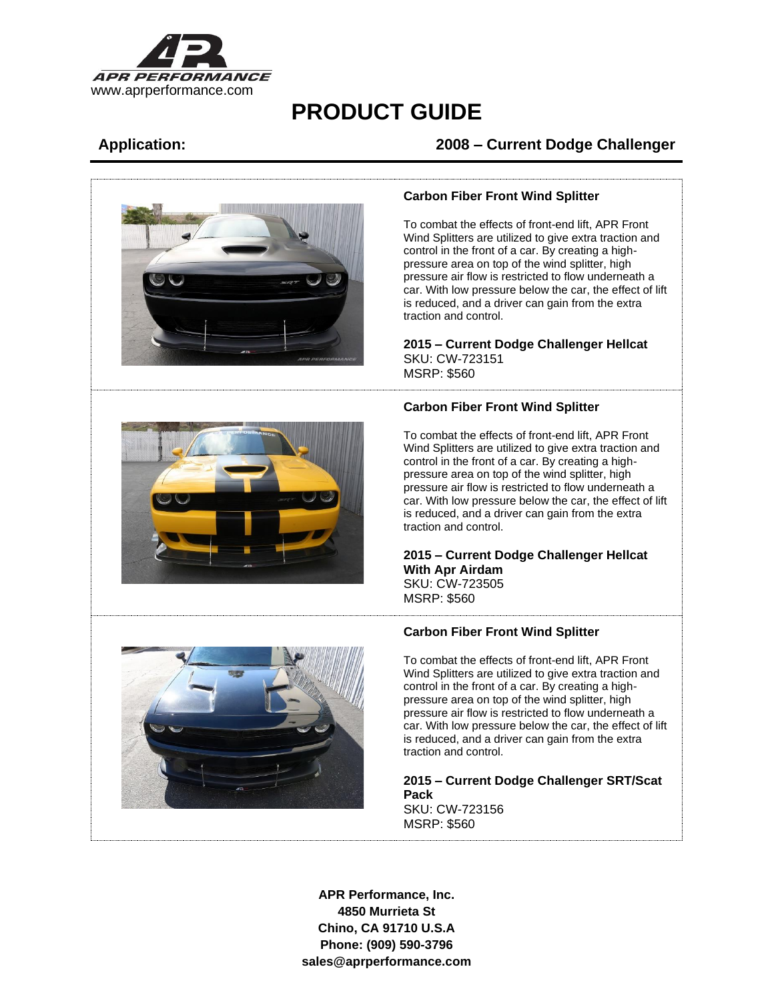

# **Application: 2008 – Current Dodge Challenger**



#### **Carbon Fiber Front Wind Splitter**

To combat the effects of front-end lift, APR Front Wind Splitters are utilized to give extra traction and control in the front of a car. By creating a highpressure area on top of the wind splitter, high pressure air flow is restricted to flow underneath a car. With low pressure below the car, the effect of lift is reduced, and a driver can gain from the extra traction and control.

### **2015 – Current Dodge Challenger Hellcat** SKU: CW-723151 MSRP: \$560

### **Carbon Fiber Front Wind Splitter**

To combat the effects of front-end lift, APR Front Wind Splitters are utilized to give extra traction and control in the front of a car. By creating a highpressure area on top of the wind splitter, high pressure air flow is restricted to flow underneath a car. With low pressure below the car, the effect of lift is reduced, and a driver can gain from the extra traction and control.

#### **2015 – Current Dodge Challenger Hellcat With Apr Airdam** SKU: CW-723505 MSRP: \$560

### **Carbon Fiber Front Wind Splitter**

To combat the effects of front-end lift, APR Front Wind Splitters are utilized to give extra traction and control in the front of a car. By creating a highpressure area on top of the wind splitter, high pressure air flow is restricted to flow underneath a car. With low pressure below the car, the effect of lift is reduced, and a driver can gain from the extra traction and control.

**2015 – Current Dodge Challenger SRT/Scat Pack** SKU: CW-723156 MSRP: \$560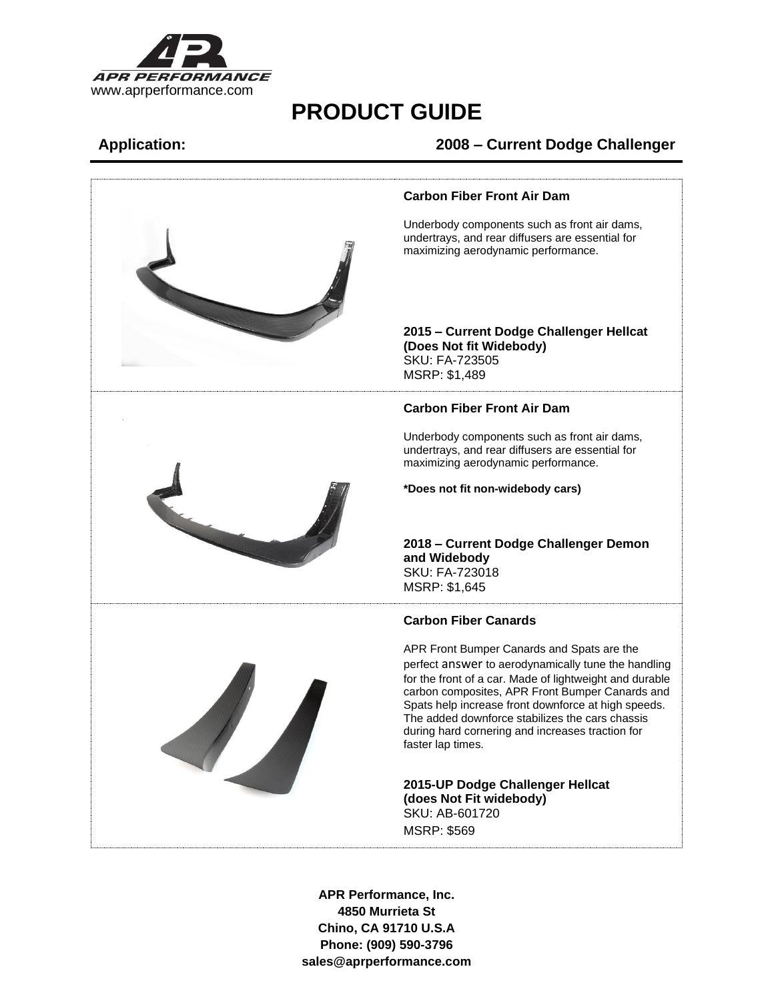

## **Application: 2008 – Current Dodge Challenger**

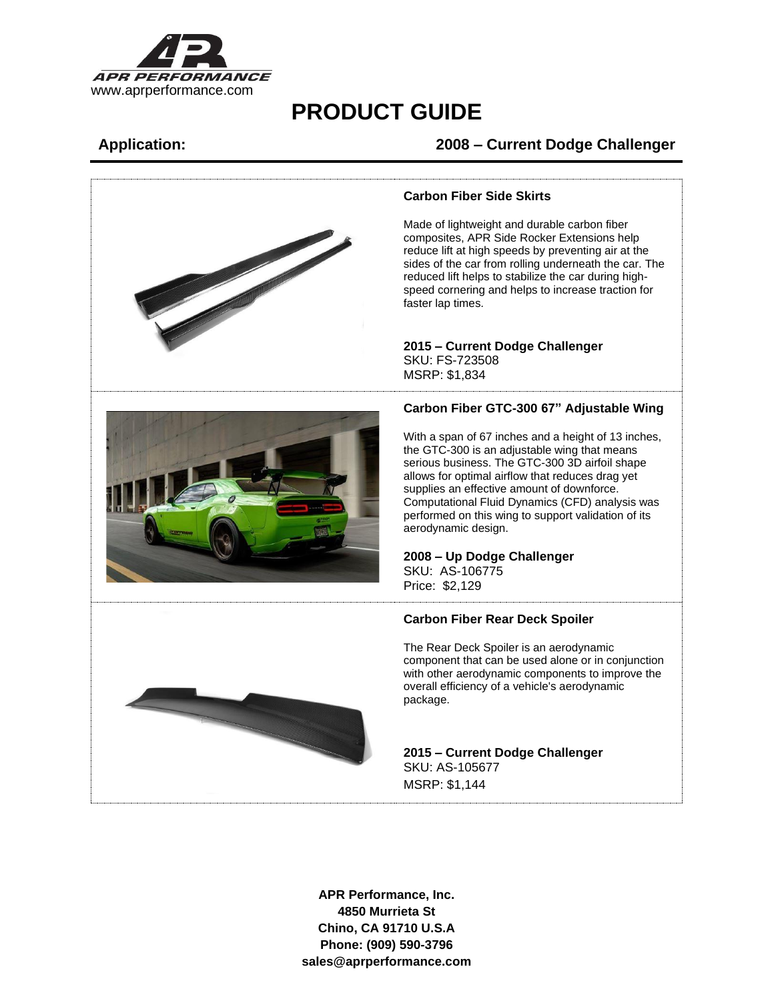

## **Application: 2008 – Current Dodge Challenger**



#### **Carbon Fiber Side Skirts**

Made of lightweight and durable carbon fiber composites, APR Side Rocker Extensions help reduce lift at high speeds by preventing air at the sides of the car from rolling underneath the car. The reduced lift helps to stabilize the car during highspeed cornering and helps to increase traction for

## **2015 – Current Dodge Challenger** SKU: FS-723508

### **Carbon Fiber GTC-300 67" Adjustable Wing**

With a span of 67 inches and a height of 13 inches, the GTC-300 is an adjustable wing that means serious business. The GTC-300 3D airfoil shape allows for optimal airflow that reduces drag yet supplies an effective amount of downforce. Computational Fluid Dynamics (CFD) analysis was performed on this wing to support validation of its aerodynamic design.

## **2008 – Up Dodge Challenger** SKU: AS-106775

### **Carbon Fiber Rear Deck Spoiler**

The Rear Deck Spoiler is an aerodynamic component that can be used alone or in conjunction with other aerodynamic components to improve the overall efficiency of a vehicle's aerodynamic

# **2015 – Current Dodge Challenger**  SKU: AS-105677